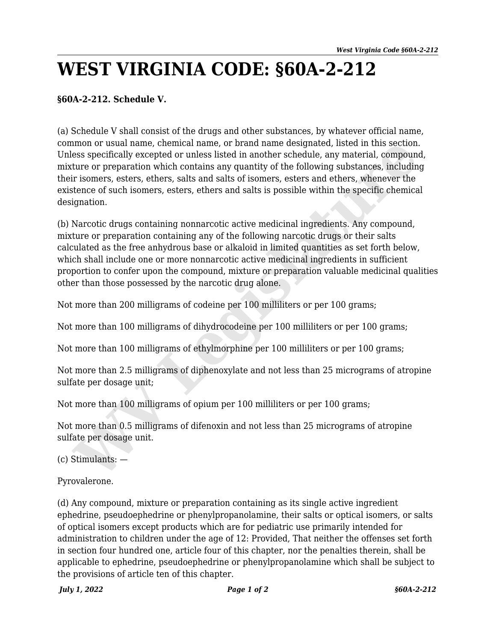## **WEST VIRGINIA CODE: §60A-2-212**

## **§60A-2-212. Schedule V.**

(a) Schedule V shall consist of the drugs and other substances, by whatever official name, common or usual name, chemical name, or brand name designated, listed in this section. Unless specifically excepted or unless listed in another schedule, any material, compound, mixture or preparation which contains any quantity of the following substances, including their isomers, esters, ethers, salts and salts of isomers, esters and ethers, whenever the existence of such isomers, esters, ethers and salts is possible within the specific chemical designation.

(b) Narcotic drugs containing nonnarcotic active medicinal ingredients. Any compound, mixture or preparation containing any of the following narcotic drugs or their salts calculated as the free anhydrous base or alkaloid in limited quantities as set forth below, which shall include one or more nonnarcotic active medicinal ingredients in sufficient proportion to confer upon the compound, mixture or preparation valuable medicinal qualities other than those possessed by the narcotic drug alone. mon or usual name, chemcal name, or prand name designated, listed in this section.<br>However, esses pecifically excepted or unless listed in another schedule, any material, compound<br>ture or preparation which contains any qua

Not more than 200 milligrams of codeine per 100 milliliters or per 100 grams;

Not more than 100 milligrams of dihydrocodeine per 100 milliliters or per 100 grams;

Not more than 100 milligrams of ethylmorphine per 100 milliliters or per 100 grams;

Not more than 2.5 milligrams of diphenoxylate and not less than 25 micrograms of atropine sulfate per dosage unit;

Not more than 100 milligrams of opium per 100 milliliters or per 100 grams;

Not more than 0.5 milligrams of difenoxin and not less than 25 micrograms of atropine sulfate per dosage unit.

(c) Stimulants: —

Pyrovalerone.

(d) Any compound, mixture or preparation containing as its single active ingredient ephedrine, pseudoephedrine or phenylpropanolamine, their salts or optical isomers, or salts of optical isomers except products which are for pediatric use primarily intended for administration to children under the age of 12: Provided, That neither the offenses set forth in section four hundred one, article four of this chapter, nor the penalties therein, shall be applicable to ephedrine, pseudoephedrine or phenylpropanolamine which shall be subject to the provisions of article ten of this chapter.

*July 1, 2022 Page 1 of 2 §60A-2-212*